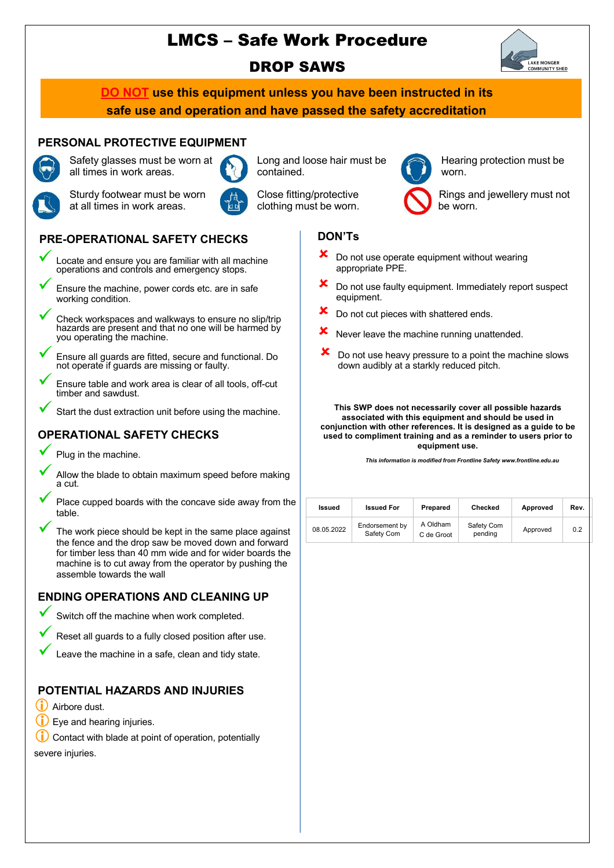# LMCS – Safe Work Procedure





**DO NOT use this equipment unless you have been instructed in its safe use and operation and have passed the safety accreditation**

### **PERSONAL PROTECTIVE EQUIPMENT** Safety glasses must be worn at



all times in work areas. Sturdy footwear must be worn at all times in work areas.



Long and loose hair must be contained.

Close fitting/protective clothing must be worn.

Hearing protection must be worn.

Rings and jewellery must not be worn.

### **PRE-OPERATIONAL SAFETY CHECKS**

- ü Locate and ensure you are familiar with all machine operations and controls and emergency stops.
	- Ensure the machine, power cords etc. are in safe working condition.
	- Check workspaces and walkways to ensure no slip/trip hazards are present and that no one will be harmed by you operating the machine.
	- ü Ensure all guards are fitted, secure and functional. Do not operate if guards are missing or faulty.
- Ensure table and work area is clear of all tools, off-cut timber and sawdust.
- Start the dust extraction unit before using the machine.

### **OPERATIONAL SAFETY CHECKS**

Plug in the machine.

- Allow the blade to obtain maximum speed before making a cut.
- Place cupped boards with the concave side away from the table.
- The work piece should be kept in the same place against the fence and the drop saw be moved down and forward for timber less than 40 mm wide and for wider boards the machine is to cut away from the operator by pushing the assemble towards the wall

### **ENDING OPERATIONS AND CLEANING UP**

- Switch off the machine when work completed.
- Reset all guards to a fully closed position after use.
- Leave the machine in a safe, clean and tidy state.

## **POTENTIAL HAZARDS AND INJURIES**

- (i) Airbore dust.
- $(i)$  Eye and hearing injuries.
- Contact with blade at point of operation, potentially severe injuries.

## **DON'Ts**

- Do not use operate equipment without wearing appropriate PPE.
- û Do not use faulty equipment. Immediately report suspect equipment.
- Do not cut pieces with shattered ends.
- $x$  Never leave the machine running unattended.
- Do not use heavy pressure to a point the machine slows down audibly at a starkly reduced pitch.

#### **This SWP does not necessarily cover all possible hazards associated with this equipment and should be used in conjunction with other references. It is designed as a guide to be used to compliment training and as a reminder to users prior to equipment use.**

*This information is modified from Frontline Safety www.frontline.edu.au*

| Issued     | <b>Issued For</b>            | Prepared               | Checked               | Approved | Rev. |
|------------|------------------------------|------------------------|-----------------------|----------|------|
| 08.05.2022 | Endorsement by<br>Safety Com | A Oldham<br>C de Groot | Safety Com<br>pending | Approved | 0.2  |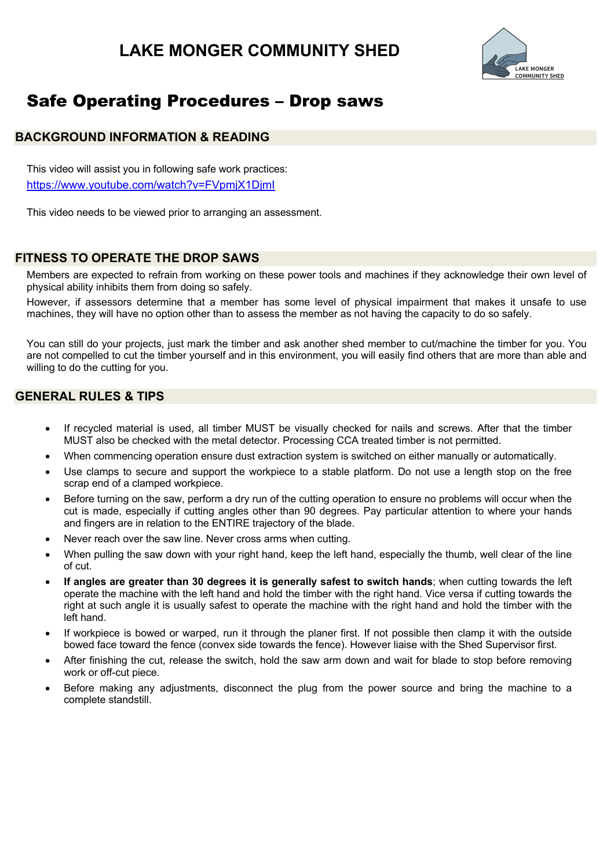# **LAKE MONGER COMMUNITY SHED**



# Safe Operating Procedures – Drop saws

#### **BACKGROUND INFORMATION & READING**

This video will assist you in following safe work practices: https://www.youtube.com/watch?v=FVpmjX1DjmI

This video needs to be viewed prior to arranging an assessment.

#### **FITNESS TO OPERATE THE DROP SAWS**

Members are expected to refrain from working on these power tools and machines if they acknowledge their own level of physical ability inhibits them from doing so safely.

However, if assessors determine that a member has some level of physical impairment that makes it unsafe to use machines, they will have no option other than to assess the member as not having the capacity to do so safely.

You can still do your projects, just mark the timber and ask another shed member to cut/machine the timber for you. You are not compelled to cut the timber yourself and in this environment, you will easily find others that are more than able and willing to do the cutting for you.

#### **GENERAL RULES & TIPS**

- If recycled material is used, all timber MUST be visually checked for nails and screws. After that the timber MUST also be checked with the metal detector. Processing CCA treated timber is not permitted.
- When commencing operation ensure dust extraction system is switched on either manually or automatically.
- Use clamps to secure and support the workpiece to a stable platform. Do not use a length stop on the free scrap end of a clamped workpiece.
- Before turning on the saw, perform a dry run of the cutting operation to ensure no problems will occur when the cut is made, especially if cutting angles other than 90 degrees. Pay particular attention to where your hands and fingers are in relation to the ENTIRE trajectory of the blade.
- Never reach over the saw line. Never cross arms when cutting.
- When pulling the saw down with your right hand, keep the left hand, especially the thumb, well clear of the line of cut.
- **If angles are greater than 30 degrees it is generally safest to switch hands**; when cutting towards the left operate the machine with the left hand and hold the timber with the right hand. Vice versa if cutting towards the right at such angle it is usually safest to operate the machine with the right hand and hold the timber with the left hand.
- If workpiece is bowed or warped, run it through the planer first. If not possible then clamp it with the outside bowed face toward the fence (convex side towards the fence). However liaise with the Shed Supervisor first.
- After finishing the cut, release the switch, hold the saw arm down and wait for blade to stop before removing work or off-cut piece.
- Before making any adjustments, disconnect the plug from the power source and bring the machine to a complete standstill.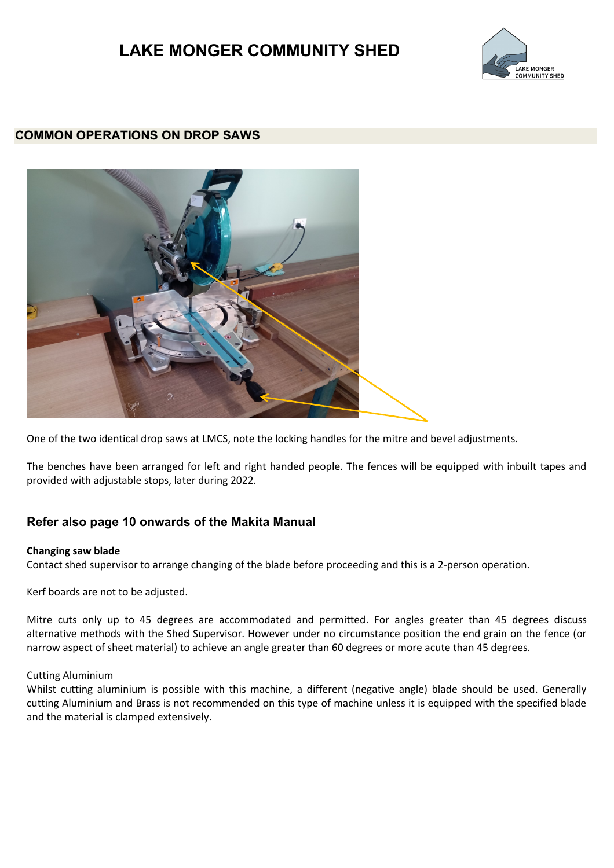# **LAKE MONGER COMMUNITY SHED**



#### **COMMON OPERATIONS ON DROP SAWS**



One of the two identical drop saws at LMCS, note the locking handles for the mitre and bevel adjustments.

The benches have been arranged for left and right handed people. The fences will be equipped with inbuilt tapes and provided with adjustable stops, later during 2022.

#### **Refer also page 10 onwards of the Makita Manual**

#### **Changing saw blade**

Contact shed supervisor to arrange changing of the blade before proceeding and this is a 2-person operation.

Kerf boards are not to be adjusted.

Mitre cuts only up to 45 degrees are accommodated and permitted. For angles greater than 45 degrees discuss alternative methods with the Shed Supervisor. However under no circumstance position the end grain on the fence (or narrow aspect of sheet material) to achieve an angle greater than 60 degrees or more acute than 45 degrees.

#### Cutting Aluminium

Whilst cutting aluminium is possible with this machine, a different (negative angle) blade should be used. Generally cutting Aluminium and Brass is not recommended on this type of machine unless it is equipped with the specified blade and the material is clamped extensively.